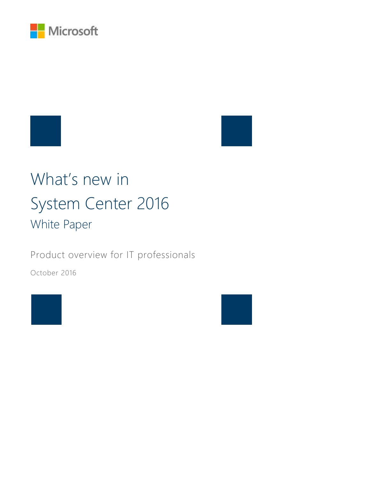

# What's new in System Center 2016 White Paper

Product overview for IT professionals

October 2016



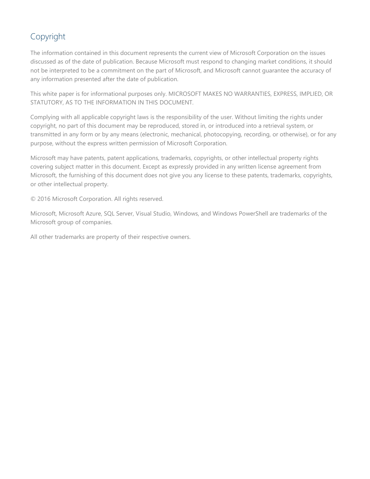## Copyright

The information contained in this document represents the current view of Microsoft Corporation on the issues discussed as of the date of publication. Because Microsoft must respond to changing market conditions, it should not be interpreted to be a commitment on the part of Microsoft, and Microsoft cannot guarantee the accuracy of any information presented after the date of publication.

This white paper is for informational purposes only. MICROSOFT MAKES NO WARRANTIES, EXPRESS, IMPLIED, OR STATUTORY, AS TO THE INFORMATION IN THIS DOCUMENT.

Complying with all applicable copyright laws is the responsibility of the user. Without limiting the rights under copyright, no part of this document may be reproduced, stored in, or introduced into a retrieval system, or transmitted in any form or by any means (electronic, mechanical, photocopying, recording, or otherwise), or for any purpose, without the express written permission of Microsoft Corporation.

Microsoft may have patents, patent applications, trademarks, copyrights, or other intellectual property rights covering subject matter in this document. Except as expressly provided in any written license agreement from Microsoft, the furnishing of this document does not give you any license to these patents, trademarks, copyrights, or other intellectual property.

© 2016 Microsoft Corporation. All rights reserved.

Microsoft, Microsoft Azure, SQL Server, Visual Studio, Windows, and Windows PowerShell are trademarks of the Microsoft group of companies.

All other trademarks are property of their respective owners.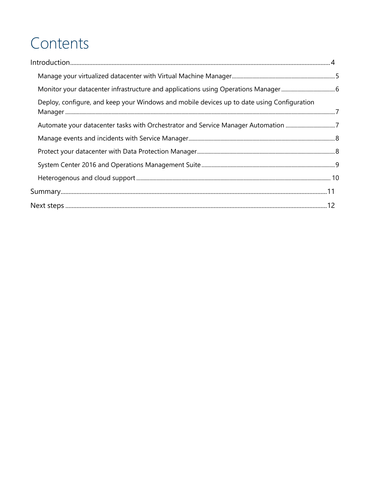# Contents

| Deploy, configure, and keep your Windows and mobile devices up to date using Configuration |  |
|--------------------------------------------------------------------------------------------|--|
| Automate your datacenter tasks with Orchestrator and Service Manager Automation 7          |  |
|                                                                                            |  |
|                                                                                            |  |
|                                                                                            |  |
|                                                                                            |  |
|                                                                                            |  |
|                                                                                            |  |
|                                                                                            |  |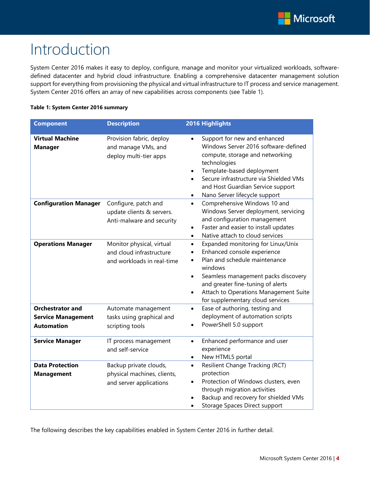# <span id="page-3-0"></span>Introduction

System Center 2016 makes it easy to deploy, configure, manage and monitor your virtualized workloads, softwaredefined datacenter and hybrid cloud infrastructure. Enabling a comprehensive datacenter management solution support for everything from provisioning the physical and virtual infrastructure to IT process and service management. System Center 2016 offers an array of new capabilities across components (see Table 1).

#### **Table 1: System Center 2016 summary**

| <b>Component</b>                                                          | <b>Description</b>                                                                  | 2016 Highlights                                                                                                                                                                                                                                                                                               |
|---------------------------------------------------------------------------|-------------------------------------------------------------------------------------|---------------------------------------------------------------------------------------------------------------------------------------------------------------------------------------------------------------------------------------------------------------------------------------------------------------|
| <b>Virtual Machine</b><br><b>Manager</b>                                  | Provision fabric, deploy<br>and manage VMs, and<br>deploy multi-tier apps           | Support for new and enhanced<br>$\bullet$<br>Windows Server 2016 software-defined<br>compute, storage and networking<br>technologies<br>Template-based deployment<br>$\bullet$<br>Secure infrastructure via Shielded VMs<br>and Host Guardian Service support<br>Nano Server lifecycle support                |
| <b>Configuration Manager</b>                                              | Configure, patch and<br>update clients & servers.<br>Anti-malware and security      | Comprehensive Windows 10 and<br>$\bullet$<br>Windows Server deployment, servicing<br>and configuration management<br>Faster and easier to install updates<br>$\bullet$<br>Native attach to cloud services<br>$\bullet$                                                                                        |
| <b>Operations Manager</b>                                                 | Monitor physical, virtual<br>and cloud infrastructure<br>and workloads in real-time | Expanded monitoring for Linux/Unix<br>$\bullet$<br>Enhanced console experience<br>Plan and schedule maintenance<br>windows<br>Seamless management packs discovery<br>$\bullet$<br>and greater fine-tuning of alerts<br>Attach to Operations Management Suite<br>$\bullet$<br>for supplementary cloud services |
| <b>Orchestrator and</b><br><b>Service Management</b><br><b>Automation</b> | Automate management<br>tasks using graphical and<br>scripting tools                 | Ease of authoring, testing and<br>$\bullet$<br>deployment of automation scripts<br>PowerShell 5.0 support                                                                                                                                                                                                     |
| <b>Service Manager</b>                                                    | IT process management<br>and self-service                                           | Enhanced performance and user<br>$\bullet$<br>experience<br>New HTML5 portal<br>$\bullet$                                                                                                                                                                                                                     |
| <b>Data Protection</b><br><b>Management</b>                               | Backup private clouds,<br>physical machines, clients,<br>and server applications    | Resilient Change Tracking (RCT)<br>$\bullet$<br>protection<br>Protection of Windows clusters, even<br>through migration activities<br>Backup and recovery for shielded VMs<br>Storage Spaces Direct support                                                                                                   |

The following describes the key capabilities enabled in System Center 2016 in further detail.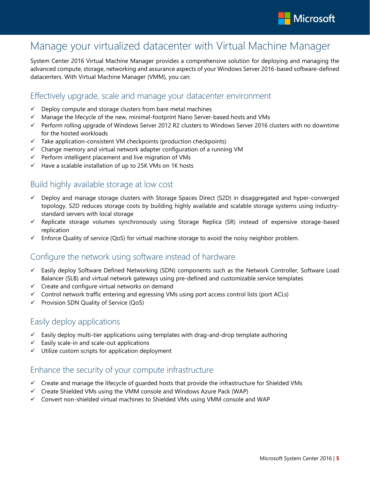

# <span id="page-4-0"></span>Manage your virtualized datacenter with Virtual Machine Manager

System Center 2016 Virtual Machine Manager provides a comprehensive solution for deploying and managing the advanced compute, storage, networking and assurance aspects of your Windows Server 2016-based software-defined datacenters. With Virtual Machine Manager (VMM), you can:

### Effectively upgrade, scale and manage your datacenter environment

- $\checkmark$  Deploy compute and storage clusters from bare metal machines
- $\checkmark$  Manage the lifecycle of the new, minimal-footprint Nano Server-based hosts and VMs
- $\checkmark$  Perform rolling upgrade of Windows Server 2012 R2 clusters to Windows Server 2016 clusters with no downtime for the hosted workloads
- $\checkmark$  Take application-consistent VM checkpoints (production checkpoints)
- $\checkmark$  Change memory and virtual network adapter configuration of a running VM
- $\checkmark$  Perform intelligent placement and live migration of VMs
- $\checkmark$  Have a scalable installation of up to 25K VMs on 1K hosts

## Build highly available storage at low cost

- Deploy and manage storage clusters with Storage Spaces Direct (S2D) in disaggregated and hyper-converged topology. S2D reduces storage costs by building highly available and scalable storage systems using industrystandard servers with local storage
- $\checkmark$  Replicate storage volumes synchronously using Storage Replica (SR) instead of expensive storage-based replication
- $\checkmark$  Enforce Quality of service (QoS) for virtual machine storage to avoid the noisy neighbor problem.

## Configure the network using software instead of hardware

- $\checkmark$  Easily deploy Software Defined Networking (SDN) components such as the Network Controller, Software Load Balancer (SLB) and virtual network gateways using pre-defined and customizable service templates
- $\checkmark$  Create and configure virtual networks on demand
- $\checkmark$  Control network traffic entering and egressing VMs using port access control lists (port ACLs)
- $\checkmark$  Provision SDN Quality of Service (QoS)

## Easily deploy applications

- $\checkmark$  Easily deploy multi-tier applications using templates with drag-and-drop template authoring
- $\checkmark$  Easily scale-in and scale-out applications
- $\checkmark$  Utilize custom scripts for application deployment

## Enhance the security of your compute infrastructure

- $\checkmark$  Create and manage the lifecycle of guarded hosts that provide the infrastructure for Shielded VMs
- $\checkmark$  Create Shielded VMs using the VMM console and Windows Azure Pack (WAP)
- $\checkmark$  Convert non-shielded virtual machines to Shielded VMs using VMM console and WAP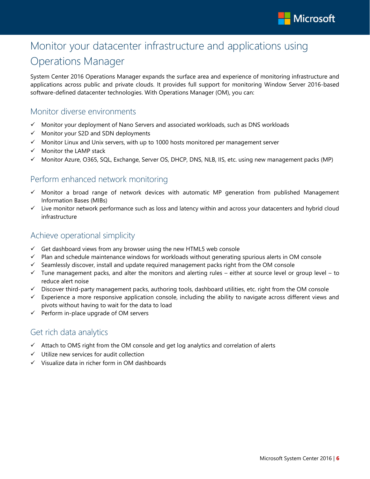

# <span id="page-5-0"></span>Monitor your datacenter infrastructure and applications using

# Operations Manager

System Center 2016 Operations Manager expands the surface area and experience of monitoring infrastructure and applications across public and private clouds. It provides full support for monitoring Window Server 2016-based software-defined datacenter technologies. With Operations Manager (OM), you can:

### Monitor diverse environments

- $\checkmark$  Monitor your deployment of Nano Servers and associated workloads, such as DNS workloads
- $\checkmark$  Monitor your S2D and SDN deployments
- $\checkmark$  Monitor Linux and Unix servers, with up to 1000 hosts monitored per management server
- $\checkmark$  Monitor the LAMP stack
- Monitor Azure, O365, SQL, Exchange, Server OS, DHCP, DNS, NLB, IIS, etc. using new management packs (MP)

### Perform enhanced network monitoring

- $\checkmark$  Monitor a broad range of network devices with automatic MP generation from published Management Information Bases (MIBs)
- $\checkmark$  Live monitor network performance such as loss and latency within and across your datacenters and hybrid cloud infrastructure

### Achieve operational simplicity

- $\checkmark$  Get dashboard views from any browser using the new HTML5 web console
- $\checkmark$  Plan and schedule maintenance windows for workloads without generating spurious alerts in OM console
- $\checkmark$  Seamlessly discover, install and update required management packs right from the OM console
- $\checkmark$  Tune management packs, and alter the monitors and alerting rules either at source level or group level to reduce alert noise
- $\checkmark$  Discover third-party management packs, authoring tools, dashboard utilities, etc. right from the OM console
- $\checkmark$  Experience a more responsive application console, including the ability to navigate across different views and pivots without having to wait for the data to load
- $\checkmark$  Perform in-place upgrade of OM servers

### Get rich data analytics

- $\checkmark$  Attach to OMS right from the OM console and get log analytics and correlation of alerts
- $\checkmark$  Utilize new services for audit collection
- $\checkmark$  Visualize data in richer form in OM dashboards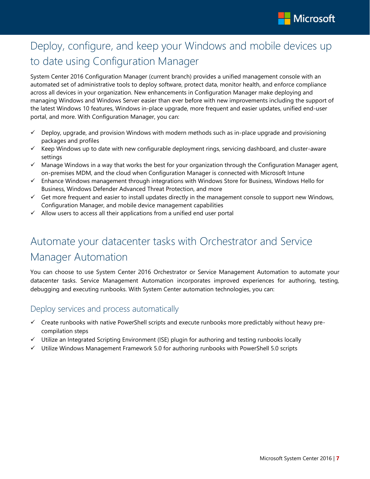

# <span id="page-6-0"></span>Deploy, configure, and keep your Windows and mobile devices up to date using Configuration Manager

System Center 2016 Configuration Manager (current branch) provides a unified management console with an automated set of administrative tools to deploy software, protect data, monitor health, and enforce compliance across all devices in your organization. New enhancements in Configuration Manager make deploying and managing Windows and Windows Server easier than ever before with new improvements including the support of the latest Windows 10 features, Windows in-place upgrade, more frequent and easier updates, unified end-user portal, and more. With Configuration Manager, you can:

- $\checkmark$  Deploy, upgrade, and provision Windows with modern methods such as in-place upgrade and provisioning packages and profiles
- $\checkmark$  Keep Windows up to date with new configurable deployment rings, servicing dashboard, and cluster-aware settings
- $\checkmark$  Manage Windows in a way that works the best for your organization through the Configuration Manager agent, on-premises MDM, and the cloud when Configuration Manager is connected with Microsoft Intune
- $\checkmark$  Enhance Windows management through integrations with Windows Store for Business, Windows Hello for Business, Windows Defender Advanced Threat Protection, and more
- $\checkmark$  Get more frequent and easier to install updates directly in the management console to support new Windows, Configuration Manager, and mobile device management capabilities
- $\checkmark$  Allow users to access all their applications from a unified end user portal

# <span id="page-6-1"></span>Automate your datacenter tasks with Orchestrator and Service Manager Automation

You can choose to use System Center 2016 Orchestrator or Service Management Automation to automate your datacenter tasks. Service Management Automation incorporates improved experiences for authoring, testing, debugging and executing runbooks. With System Center automation technologies, you can:

## Deploy services and process automatically

- $\checkmark$  Create runbooks with native PowerShell scripts and execute runbooks more predictably without heavy precompilation steps
- $\checkmark$  Utilize an Integrated Scripting Environment (ISE) plugin for authoring and testing runbooks locally
- $\checkmark$  Utilize Windows Management Framework 5.0 for authoring runbooks with PowerShell 5.0 scripts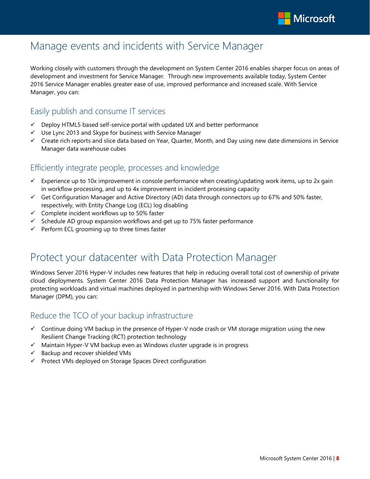

# <span id="page-7-0"></span>Manage events and incidents with Service Manager

Working closely with customers through the development on System Center 2016 enables sharper focus on areas of development and investment for Service Manager. Through new improvements available today, System Center 2016 Service Manager enables greater ease of use, improved performance and increased scale. With Service Manager, you can:

## Easily publish and consume IT services

- $\checkmark$  Deploy HTML5 based self-service portal with updated UX and better performance
- $\checkmark$  Use Lync 2013 and Skype for business with Service Manager
- $\checkmark$  Create rich reports and slice data based on Year, Quarter, Month, and Day using new date dimensions in Service Manager data warehouse cubes

### Efficiently integrate people, processes and knowledge

- $\checkmark$  Experience up to 10x improvement in console performance when creating/updating work items, up to 2x gain in workflow processing, and up to 4x improvement in incident processing capacity
- $\checkmark$  Get Configuration Manager and Active Directory (AD) data through connectors up to 67% and 50% faster, respectively, with Entity Change Log (ECL) log disabling
- $\checkmark$  Complete incident workflows up to 50% faster
- $\checkmark$  Schedule AD group expansion workflows and get up to 75% faster performance
- $\checkmark$  Perform ECL grooming up to three times faster

# <span id="page-7-1"></span>Protect your datacenter with Data Protection Manager

Windows Server 2016 Hyper-V includes new features that help in reducing overall total cost of ownership of private cloud deployments. System Center 2016 Data Protection Manager has increased support and functionality for protecting workloads and virtual machines deployed in partnership with Windows Server 2016. With Data Protection Manager (DPM), you can:

## Reduce the TCO of your backup infrastructure

- $\checkmark$  Continue doing VM backup in the presence of Hyper-V node crash or VM storage migration using the new Resilient Change Tracking (RCT) protection technology
- $\checkmark$  Maintain Hyper-V VM backup even as Windows cluster upgrade is in progress
- $\checkmark$  Backup and recover shielded VMs
- $\checkmark$  Protect VMs deployed on Storage Spaces Direct configuration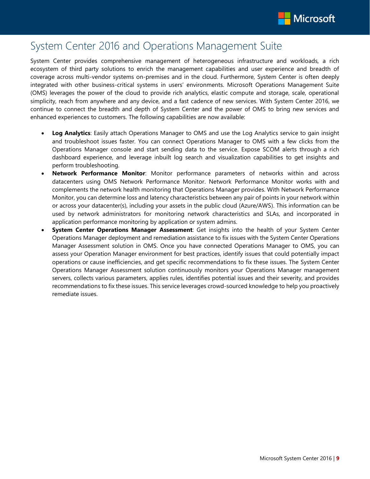

# <span id="page-8-0"></span>System Center 2016 and Operations Management Suite

System Center provides comprehensive management of heterogeneous infrastructure and workloads, a rich ecosystem of third party solutions to enrich the management capabilities and user experience and breadth of coverage across multi-vendor systems on-premises and in the cloud. Furthermore, System Center is often deeply integrated with other business-critical systems in users' environments. Microsoft Operations Management Suite (OMS) leverages the power of the cloud to provide rich analytics, elastic compute and storage, scale, operational simplicity, reach from anywhere and any device, and a fast cadence of new services. With System Center 2016, we continue to connect the breadth and depth of System Center and the power of OMS to bring new services and enhanced experiences to customers. The following capabilities are now available:

- **Log Analytics**: Easily attach Operations Manager to OMS and use the Log Analytics service to gain insight and troubleshoot issues faster. You can connect Operations Manager to OMS with a few clicks from the Operations Manager console and start sending data to the service. Expose SCOM alerts through a rich dashboard experience, and leverage inbuilt log search and visualization capabilities to get insights and perform troubleshooting.
- **Network Performance Monitor**: Monitor performance parameters of networks within and across datacenters using OMS Network Performance Monitor. Network Performance Monitor works with and complements the network health monitoring that Operations Manager provides. With Network Performance Monitor, you can determine loss and latency characteristics between any pair of points in your network within or across your datacenter(s), including your assets in the public cloud (Azure/AWS). This information can be used by network administrators for monitoring network characteristics and SLAs, and incorporated in application performance monitoring by application or system admins.
- **System Center Operations Manager Assessment**: Get insights into the health of your System Center Operations Manager deployment and remediation assistance to fix issues with the System Center Operations Manager Assessment solution in OMS. Once you have connected Operations Manager to OMS, you can assess your Operation Manager environment for best practices, identify issues that could potentially impact operations or cause inefficiencies, and get specific recommendations to fix these issues. The System Center Operations Manager Assessment solution continuously monitors your Operations Manager management servers, collects various parameters, applies rules, identifies potential issues and their severity, and provides recommendations to fix these issues. This service leverages crowd-sourced knowledge to help you proactively remediate issues.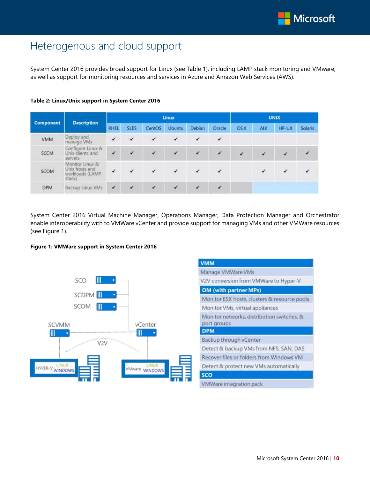# <span id="page-9-0"></span>Heterogenous and cloud support

System Center 2016 provides broad support for Linux (see Table 1), including LAMP stack monitoring and VMware, as well as support for monitoring resources and services in Azure and Amazon Web Services (AWS).

|                            |                                                                 | Linux        |             |              |               | <b>UNIX</b>  |              |            |            |       |         |
|----------------------------|-----------------------------------------------------------------|--------------|-------------|--------------|---------------|--------------|--------------|------------|------------|-------|---------|
| <b>Component</b>           | <b>Description</b>                                              | <b>RHEL</b>  | <b>SLES</b> | CentOS       | <b>Ubuntu</b> | Debian       | Oracle       | <b>OSX</b> | <b>AIX</b> | HP-UX | Solaris |
| <b>VMM</b>                 | Deploy and<br>manage VMs                                        | ✓            | ✓           | $\checkmark$ | $\checkmark$  | $\checkmark$ | $\checkmark$ |            |            |       |         |
| <b>SCCM</b>                | Configure Linux &<br>Unix clients and<br>servers                | ✓            |             | $\checkmark$ | $\checkmark$  | $\checkmark$ | V            | ✓          | ✓          | ✓     | ✔       |
| <b>AND CONTACT</b><br>SCOM | Monitor Linux &<br>Unix hosts and<br>workloads (LAMP)<br>stack) |              |             |              | $\checkmark$  | ⊀            |              |            | √          |       | ✔       |
| <b>DPM</b>                 | Backup Linux VMs                                                | $\checkmark$ | ×           | $\checkmark$ | v             | $\checkmark$ | $\epsilon$   |            |            |       |         |

#### **Table 2: Linux/Unix support in System Center 2016**

System Center 2016 Virtual Machine Manager, Operations Manager, Data Protection Manager and Orchestrator enable interoperability with to VMWare vCenter and provide support for managing VMs and other VMWare resources (see Figure 1).

#### **Figure 1: VMWare support in System Center 2016**



| <b>VMM</b>  |                                              |
|-------------|----------------------------------------------|
|             | Manage VMWare VMs                            |
|             | V2V conversion from VMWare to Hyper-V        |
|             | <b>OM</b> (with partner MPs)                 |
|             | Monitor ESX hosts, clusters & resource pools |
|             | Monitor VMs, virtual appliances              |
| port groups | Monitor networks, distribution switches, &   |
| <b>DPM</b>  |                                              |
|             | Backup through vCenter                       |
|             | Detect & backup VMs from NFS, SAN, DAS       |
|             | Recover files or folders from Windows VM     |
|             | Detect & protect new VMs automatically       |
| <b>SCO</b>  |                                              |
|             | VMWare integration pack                      |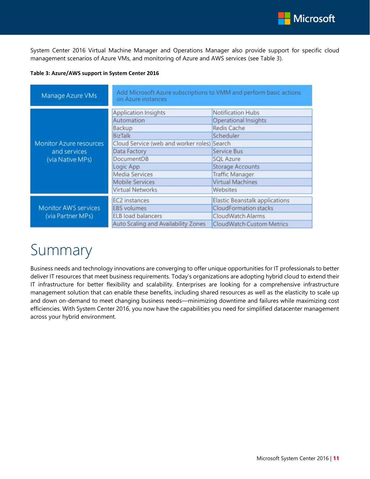

System Center 2016 Virtual Machine Manager and Operations Manager also provide support for specific cloud management scenarios of Azure VMs, and monitoring of Azure and AWS services (see Table 3).

#### **Table 3: Azure/AWS support in System Center 2016**

| Manage Azure VMs                                                   | Add Microsoft Azure subscriptions to VMM and perform basic actions<br>on Azure instances |                                |  |  |  |  |
|--------------------------------------------------------------------|------------------------------------------------------------------------------------------|--------------------------------|--|--|--|--|
| <b>Monitor Azure resources</b><br>and services<br>(via Native MPs) | <b>Application Insights</b>                                                              | Notification Hubs              |  |  |  |  |
|                                                                    | Automation                                                                               | Operational Insights           |  |  |  |  |
|                                                                    | Backup                                                                                   | Redis Cache                    |  |  |  |  |
|                                                                    | <b>BizTalk</b>                                                                           | Scheduler                      |  |  |  |  |
|                                                                    | Cloud Service (web and worker roles) Search                                              |                                |  |  |  |  |
|                                                                    | Data Factory                                                                             | Service Bus                    |  |  |  |  |
|                                                                    | DocumentDB                                                                               | <b>SQL Azure</b>               |  |  |  |  |
|                                                                    | Logic App                                                                                | <b>Storage Accounts</b>        |  |  |  |  |
|                                                                    | Media Services                                                                           | <b>Traffic Manager</b>         |  |  |  |  |
|                                                                    | <b>Mobile Services</b>                                                                   | Virtual Machines               |  |  |  |  |
|                                                                    | <b>Virtual Networks</b>                                                                  | Websites                       |  |  |  |  |
|                                                                    | <b>EC2</b> instances                                                                     | Elastic Beanstalk applications |  |  |  |  |
| <b>Monitor AWS services</b>                                        | <b>EBS</b> volumes                                                                       | <b>CloudFormation stacks</b>   |  |  |  |  |
| (via Partner MPs)                                                  | ELB load balancers                                                                       | CloudWatch Alarms              |  |  |  |  |
|                                                                    | Auto Scaling and Availability Zones                                                      | CloudWatch Custom Metrics      |  |  |  |  |

# <span id="page-10-0"></span>Summary

Business needs and technology innovations are converging to offer unique opportunities for IT professionals to better deliver IT resources that meet business requirements. Today's organizations are adopting hybrid cloud to extend their IT infrastructure for better flexibility and scalability. Enterprises are looking for a comprehensive infrastructure management solution that can enable these benefits, including shared resources as well as the elasticity to scale up and down on-demand to meet changing business needs—minimizing downtime and failures while maximizing cost efficiencies. With System Center 2016, you now have the capabilities you need for simplified datacenter management across your hybrid environment.